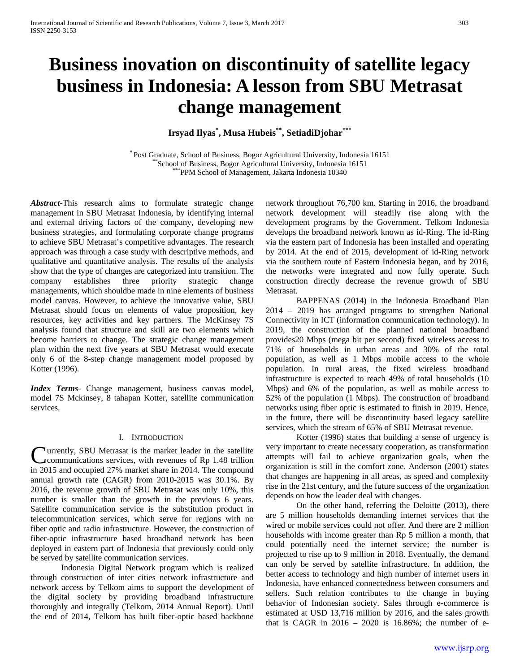# **Business inovation on discontinuity of satellite legacy business in Indonesia: A lesson from SBU Metrasat change management**

**Irsyad Ilyas\* , Musa Hubeis\*\*, SetiadiDjohar\*\*\***

\* Post Graduate, School of Business, Bogor Agricultural University, Indonesia 16151 \*\*<br>School of Business, Bogor Agricultural University, Indonesia 16151 PPM School of Management, Jakarta Indonesia 10340

*Abstract***-**This research aims to formulate strategic change management in SBU Metrasat Indonesia, by identifying internal and external driving factors of the company, developing new business strategies, and formulating corporate change programs to achieve SBU Metrasat's competitive advantages. The research approach was through a case study with descriptive methods, and qualitative and quantitative analysis. The results of the analysis show that the type of changes are categorized into transition. The company establishes three priority strategic change managements, which shouldbe made in nine elements of business model canvas. However, to achieve the innovative value, SBU Metrasat should focus on elements of value proposition, key resources, key activities and key partners. The McKinsey 7S analysis found that structure and skill are two elements which become barriers to change. The strategic change management plan within the next five years at SBU Metrasat would execute only 6 of the 8-step change management model proposed by Kotter (1996).

*Index Terms*- Change management, business canvas model, model 7S Mckinsey, 8 tahapan Kotter, satellite communication services.

## I. INTRODUCTION

urrently, SBU Metrasat is the market leader in the satellite communications services, with revenues of Rp 1.48 trillion **C**urrently, SBU Metrasat is the market leader in the satellite communications services, with revenues of Rp 1.48 trillion in 2015 and occupied 27% market share in 2014. The compound annual growth rate (CAGR) from 2010-2015 was 30.1%. By 2016, the revenue growth of SBU Metrasat was only 10%, this number is smaller than the growth in the previous 6 years. Satellite communication service is the substitution product in telecommunication services, which serve for regions with no fiber optic and radio infrastructure. However, the construction of fiber-optic infrastructure based broadband network has been deployed in eastern part of Indonesia that previously could only be served by satellite communication services.

Indonesia Digital Network program which is realized through construction of inter cities network infrastructure and network access by Telkom aims to support the development of the digital society by providing broadband infrastructure thoroughly and integrally (Telkom, 2014 Annual Report). Until the end of 2014, Telkom has built fiber-optic based backbone network throughout 76,700 km. Starting in 2016, the broadband network development will steadily rise along with the development programs by the Government. Telkom Indonesia develops the broadband network known as id-Ring. The id-Ring via the eastern part of Indonesia has been installed and operating by 2014. At the end of 2015, development of id-Ring network via the southern route of Eastern Indonesia began, and by 2016, the networks were integrated and now fully operate. Such construction directly decrease the revenue growth of SBU Metrasat.

BAPPENAS (2014) in the Indonesia Broadband Plan 2014 – 2019 has arranged programs to strengthen National Connectivity in ICT (information communication technology). In 2019, the construction of the planned national broadband provides20 Mbps (mega bit per second) fixed wireless access to 71% of households in urban areas and 30% of the total population, as well as 1 Mbps mobile access to the whole population. In rural areas, the fixed wireless broadband infrastructure is expected to reach 49% of total households (10 Mbps) and 6% of the population, as well as mobile access to 52% of the population (1 Mbps). The construction of broadband networks using fiber optic is estimated to finish in 2019. Hence, in the future, there will be discontinuity based legacy satellite services, which the stream of 65% of SBU Metrasat revenue.

Kotter (1996) states that building a sense of urgency is very important to create necessary cooperation, as transformation attempts will fail to achieve organization goals, when the organization is still in the comfort zone. Anderson (2001) states that changes are happening in all areas, as speed and complexity rise in the 21st century, and the future success of the organization depends on how the leader deal with changes.

On the other hand, referring the Deloitte (2013), there are 5 million households demanding internet services that the wired or mobile services could not offer. And there are 2 million households with income greater than Rp 5 million a month, that could potentially need the internet service; the number is projected to rise up to 9 million in 2018. Eventually, the demand can only be served by satellite infrastructure. In addition, the better access to technology and high number of internet users in Indonesia, have enhanced connectedness between consumers and sellers. Such relation contributes to the change in buying behavior of Indonesian society. Sales through e-commerce is estimated at USD 13,716 million by 2016, and the sales growth that is CAGR in  $2016 - 2020$  is 16.86%; the number of e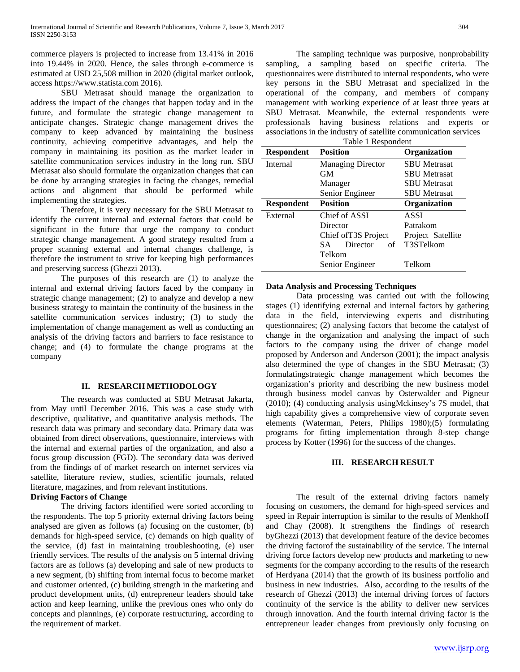commerce players is projected to increase from 13.41% in 2016 into 19.44% in 2020. Hence, the sales through e-commerce is estimated at USD 25,508 million in 2020 (digital market outlook, access https://www.statista.com 2016).

SBU Metrasat should manage the organization to address the impact of the changes that happen today and in the future, and formulate the strategic change management to anticipate changes. Strategic change management drives the company to keep advanced by maintaining the business continuity, achieving competitive advantages, and help the company in maintaining its position as the market leader in satellite communication services industry in the long run. SBU Metrasat also should formulate the organization changes that can be done by arranging strategies in facing the changes, remedial actions and alignment that should be performed while implementing the strategies.

Therefore, it is very necessary for the SBU Metrasat to identify the current internal and external factors that could be significant in the future that urge the company to conduct strategic change management. A good strategy resulted from a proper scanning external and internal changes challenge, is therefore the instrument to strive for keeping high performances and preserving success (Ghezzi 2013).

The purposes of this research are (1) to analyze the internal and external driving factors faced by the company in strategic change management; (2) to analyze and develop a new business strategy to maintain the continuity of the business in the satellite communication services industry; (3) to study the implementation of change management as well as conducting an analysis of the driving factors and barriers to face resistance to change; and (4) to formulate the change programs at the company

#### **II. RESEARCH METHODOLOGY**

The research was conducted at SBU Metrasat Jakarta, from May until December 2016. This was a case study with descriptive, qualitative, and quantitative analysis methods. The research data was primary and secondary data. Primary data was obtained from direct observations, questionnaire, interviews with the internal and external parties of the organization, and also a focus group discussion (FGD). The secondary data was derived from the findings of of market research on internet services via satellite, literature review, studies, scientific journals, related literature, magazines, and from relevant institutions.

# **Driving Factors of Change**

The driving factors identified were sorted according to the respondents. The top 5 priority external driving factors being analysed are given as follows (a) focusing on the customer, (b) demands for high-speed service, (c) demands on high quality of the service, (d) fast in maintaining troubleshooting, (e) user friendly services. The results of the analysis on 5 internal driving factors are as follows (a) developing and sale of new products to a new segment, (b) shifting from internal focus to become market and customer oriented, (c) building strength in the marketing and product development units, (d) entrepreneur leaders should take action and keep learning, unlike the previous ones who only do concepts and plannings, (e) corporate restructuring, according to the requirement of market.

The sampling technique was purposive, nonprobability sampling, a sampling based on specific criteria. The questionnaires were distributed to internal respondents, who were key persons in the SBU Metrasat and specialized in the operational of the company, and members of company management with working experience of at least three years at SBU Metrasat. Meanwhile, the external respondents were professionals having business relations and experts or associations in the industry of satellite communication services

|                   | Table 1 Respondent       |                     |  |  |  |
|-------------------|--------------------------|---------------------|--|--|--|
| <b>Respondent</b> | <b>Position</b>          | Organization        |  |  |  |
| Internal          | <b>Managing Director</b> | <b>SBU</b> Metrasat |  |  |  |
|                   | GМ                       | <b>SBU</b> Metrasat |  |  |  |
|                   | Manager                  | <b>SBU Metrasat</b> |  |  |  |
|                   | Senior Engineer          | <b>SBU</b> Metrasat |  |  |  |
| <b>Respondent</b> | <b>Position</b>          | Organization        |  |  |  |
| External          | Chief of ASSI            | ASSI                |  |  |  |
|                   | Director                 | Patrakom            |  |  |  |
|                   | Chief of T3S Project     | Project Satellite   |  |  |  |
|                   | Director<br>of<br>SA.    | T3STelkom           |  |  |  |
|                   |                          |                     |  |  |  |
|                   | Telkom                   |                     |  |  |  |

## **Data Analysis and Processing Techniques**

Data processing was carried out with the following stages (1) identifying external and internal factors by gathering data in the field, interviewing experts and distributing questionnaires; (2) analysing factors that become the catalyst of change in the organization and analysing the impact of such factors to the company using the driver of change model proposed by Anderson and Anderson (2001); the impact analysis also determined the type of changes in the SBU Metrasat; (3) formulatingstrategic change management which becomes the organization's priority and describing the new business model through business model canvas by Osterwalder and Pigneur (2010); (4) conducting analysis usingMckinsey's 7S model, that high capability gives a comprehensive view of corporate seven elements (Waterman, Peters, Philips 1980);(5) formulating programs for fitting implementation through 8-step change process by Kotter (1996) for the success of the changes.

# **III. RESEARCH RESULT**

The result of the external driving factors namely focusing on customers, the demand for high-speed services and speed in Repair interruption is similar to the results of Menkhoff and Chay (2008). It strengthens the findings of research byGhezzi (2013) that development feature of the device becomes the driving factorof the sustainability of the service. The internal driving force factors develop new products and marketing to new segments for the company according to the results of the research of Herdyana (2014) that the growth of its business portfolio and business in new industries. Also, according to the results of the research of Ghezzi (2013) the internal driving forces of factors continuity of the service is the ability to deliver new services through innovation. And the fourth internal driving factor is the entrepreneur leader changes from previously only focusing on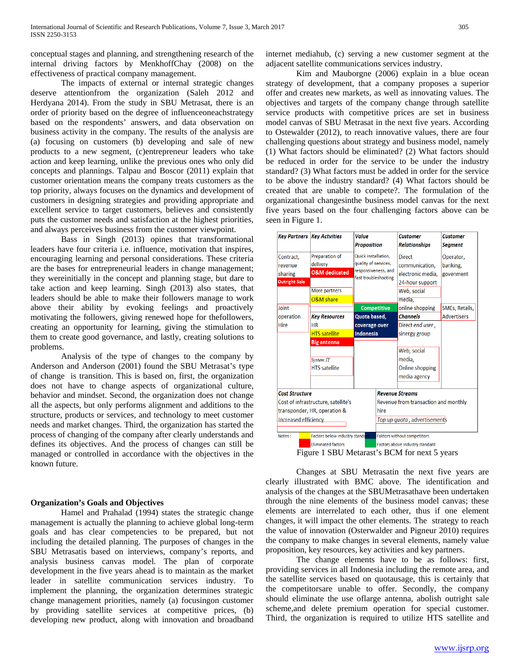conceptual stages and planning, and strengthening research of the internal driving factors by MenkhoffChay (2008) on the effectiveness of practical company management.

The impacts of external or internal strategic changes deserve attentionfrom the organization (Saleh 2012 and Herdyana 2014). From the study in SBU Metrasat, there is an order of priority based on the degree of influenceoneachstrategy based on the respondents' answers, and data observation on business activity in the company. The results of the analysis are (a) focusing on customers (b) developing and sale of new products to a new segment, (c)entrepreneur leaders who take action and keep learning, unlike the previous ones who only did concepts and plannings. Talpau and Boscor (2011) explain that customer orientation means the company treats customers as the top priority, always focuses on the dynamics and development of customers in designing strategies and providing appropriate and excellent service to target customers, believes and consistently puts the customer needs and satisfaction at the highest priorities, and always perceives business from the customer viewpoint.

Bass in Singh (2013) opines that transformational leaders have four criteria i.e. influence, motivation that inspires, encouraging learning and personal considerations. These criteria are the bases for entrepreneurial leaders in change management; they wereinitially in the concept and planning stage, but dare to take action and keep learning. Singh (2013) also states, that leaders should be able to make their followers manage to work above their ability by evoking feelings and proactively motivating the followers, giving renewed hope for thefollowers, creating an opportunity for learning, giving the stimulation to them to create good governance, and lastly, creating solutions to problems.

Analysis of the type of changes to the company by Anderson and Anderson (2001) found the SBU Metrasat's type of change is transition. This is based on, first, the organization does not have to change aspects of organizational culture, behavior and mindset. Second, the organization does not change all the aspects, but only performs alignment and additions to the structure, products or services, and technology to meet customer needs and market changes. Third, the organization has started the process of changing of the company after clearly understands and defines its objectives. And the process of changes can still be managed or controlled in accordance with the objectives in the known future.

# **Organization's Goals and Objectives**

Hamel and Prahalad (1994) states the strategic change management is actually the planning to achieve global long-term goals and has clear competencies to be prepared, but not including the detailed planning. The purposes of changes in the SBU Metrasatis based on interviews, company's reports, and analysis business canvas model. The plan of corporate development in the five years ahead is to maintain as the market leader in satellite communication services industry. To implement the planning, the organization determines strategic change management priorities, namely (a) focusingon customer by providing satellite services at competitive prices, (b) developing new product, along with innovation and broadband

internet mediahub, (c) serving a new customer segment at the adjacent satellite communications services industry.

Kim and Mauborgne (2006) explain in a blue ocean strategy of development, that a company proposes a superior offer and creates new markets, as well as innovating values. The objectives and targets of the company change through satellite service products with competitive prices are set in business model canvas of SBU Metrasat in the next five years. According to Ostewalder (2012), to reach innovative values, there are four challenging questions about strategy and business model, namely (1) What factors should be eliminated? (2) What factors should be reduced in order for the service to be under the industry standard? (3) What factors must be added in order for the service to be above the industry standard? (4) What factors should be created that are unable to compete?. The formulation of the organizational changesinthe business model canvas for the next five years based on the four challenging factors above can be seen in Figure 1.

|                                           | <b>Key Partners Key Actvities</b> | Value<br><b>Proposition</b>                 |                                      | <b>Customer</b><br><b>Relationships</b> | <b>Customer</b><br><b>Segment</b> |
|-------------------------------------------|-----------------------------------|---------------------------------------------|--------------------------------------|-----------------------------------------|-----------------------------------|
| Contract,<br>revenue                      | Preparation of<br>delivery        | Quick installation,<br>quality of services, |                                      | <b>Direct</b><br>communication,         | Operator,<br>banking,             |
| sharing                                   | <b>O&amp;M</b> dedicated          | responsiveness, and                         |                                      | electronic media,                       | govenment                         |
| <b>Outright Sale</b>                      |                                   |                                             | fast troubleshooting                 | 24-hour support                         |                                   |
|                                           | More partners                     |                                             |                                      | Web, social                             |                                   |
|                                           | O&M share                         |                                             |                                      | media.                                  |                                   |
| loint                                     |                                   | <b>Competitive</b>                          |                                      | online shopping                         | SMEs, Retails,                    |
| operation                                 | <b>Key Resources</b>              | Quota based,                                |                                      | <b>Channels</b>                         | <b>Advertisers</b>                |
| <b>Hire</b>                               | <b>HR</b>                         | coverage over                               |                                      | Direct end user,                        |                                   |
|                                           | <b>HTS</b> satellite              | Indonesia                                   |                                      | sinergy group                           |                                   |
|                                           | <b>Big antenna</b>                |                                             |                                      |                                         |                                   |
|                                           |                                   |                                             |                                      | Web, social                             |                                   |
|                                           | System <sub>IT</sub>              |                                             |                                      | media.                                  |                                   |
|                                           | <b>HTS</b> satellite              |                                             |                                      | Online shopping                         |                                   |
|                                           |                                   |                                             |                                      | media agency                            |                                   |
| <b>Cost Structure</b>                     |                                   |                                             |                                      | <b>Revenue Streams</b>                  |                                   |
| Cost of infrastructure, satellite's       |                                   |                                             | Revenue from transaction and monthly |                                         |                                   |
| transponder, HR, operation &              |                                   |                                             | hire                                 |                                         |                                   |
| <b>Increased efficiency</b>               |                                   |                                             | Top up quota, advertisements         |                                         |                                   |
| Factors below industry standard<br>Notes: |                                   |                                             |                                      | <b>Faktors without competitors</b>      |                                   |
|                                           | <b>Eliminated factors</b>         |                                             |                                      | Factors above industry standard         |                                   |

Figure 1 SBU Metarast's BCM for next 5 years

Changes at SBU Metrasatin the next five years are clearly illustrated with BMC above. The identification and analysis of the changes at the SBUMetrasathave been undertaken through the nine elements of the business model canvas; these elements are interrelated to each other, thus if one element changes, it will impact the other elements. The strategy to reach the value of innovation (Osterwalder and Pigneur 2010) requires the company to make changes in several elements, namely value proposition, key resources, key activities and key partners.

The change elements have to be as follows: first, providing services in all Indonesia including the remote area, and the satellite services based on quotausage, this is certainly that the competitorsare unable to offer. Secondly, the company should eliminate the use oflarge antenna, abolish outright sale scheme,and delete premium operation for special customer. Third, the organization is required to utilize HTS satellite and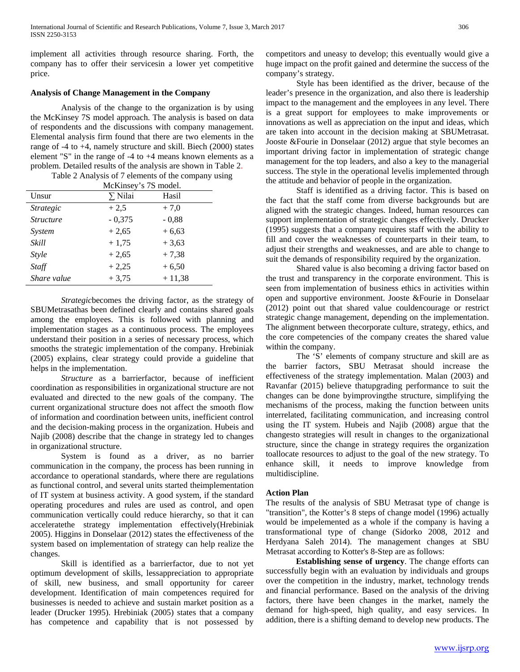implement all activities through resource sharing. Forth, the company has to offer their servicesin a lower yet competitive price.

# **Analysis of Change Management in the Company**

Analysis of the change to the organization is by using the McKinsey 7S model approach. The analysis is based on data of respondents and the discussions with company management. Elemental analysis firm found that there are two elements in the range of -4 to +4, namely structure and skill. Biech (2000) states element "S" in the range of -4 to +4 means known elements as a problem. Detailed results of the analysis are shown in Table 2.

|                                | McKinsey's 7S model. |          |  |  |
|--------------------------------|----------------------|----------|--|--|
| Unsur                          | $\Sigma$ Nilai       | Hasil    |  |  |
| <i><u><b>Strategic</b></u></i> | $+2.5$               | $+7.0$   |  |  |
| <i><u><b>Structure</b></u></i> | $-0,375$             | $-0,88$  |  |  |
| System                         | $+2,65$              | $+6,63$  |  |  |
| Skill                          | $+1,75$              | $+3,63$  |  |  |
| <b>Style</b>                   | $+2,65$              | $+7.38$  |  |  |
| Staff                          | $+2,25$              | $+6.50$  |  |  |
| Share value                    | $+3,75$              | $+11,38$ |  |  |
|                                |                      |          |  |  |

Table 2 Analysis of 7 elements of the company using

*Strategic*becomes the driving factor, as the strategy of SBUMetrasathas been defined clearly and contains shared goals among the employees. This is followed with planning and implementation stages as a continuous process. The employees understand their position in a series of necessary process, which smooths the strategic implementation of the company. Hrebiniak (2005) explains, clear strategy could provide a guideline that helps in the implementation.

*Structure* as a barrierfactor, because of inefficient coordination as responsibilities in organizational structure are not evaluated and directed to the new goals of the company. The current organizational structure does not affect the smooth flow of information and coordination between units, inefficient control and the decision-making process in the organization. Hubeis and Najib (2008) describe that the change in strategy led to changes in organizational structure.

System is found as a driver, as no barrier communication in the company, the process has been running in accordance to operational standards, where there are regulations as functional control, and several units started theimplementation of IT system at business activity. A good system, if the standard operating procedures and rules are used as control, and open communication vertically could reduce hierarchy, so that it can acceleratethe strategy implementation effectively(Hrebiniak 2005). Higgins in Donselaar (2012) states the effectiveness of the system based on implementation of strategy can help realize the changes.

Skill is identified as a barrierfactor, due to not yet optimum development of skills, lessappreciation to appropriate of skill, new business, and small opportunity for career development. Identification of main competences required for businesses is needed to achieve and sustain market position as a leader (Drucker 1995). Hrebiniak (2005) states that a company has competence and capability that is not possessed by competitors and uneasy to develop; this eventually would give a huge impact on the profit gained and determine the success of the company's strategy.

Style has been identified as the driver, because of the leader's presence in the organization, and also there is leadership impact to the management and the employees in any level. There is a great support for employees to make improvements or innovations as well as appreciation on the input and ideas, which are taken into account in the decision making at SBUMetrasat. Jooste &Fourie in Donselaar (2012) argue that style becomes an important driving factor in implementation of strategic change management for the top leaders, and also a key to the managerial success. The style in the operational levelis implemented through the attitude and behavior of people in the organization.

Staff is identified as a driving factor. This is based on the fact that the staff come from diverse backgrounds but are aligned with the strategic changes. Indeed, human resources can support implementation of strategic changes effectively. Drucker (1995) suggests that a company requires staff with the ability to fill and cover the weaknesses of counterparts in their team, to adjust their strengths and weaknesses, and are able to change to suit the demands of responsibility required by the organization.

Shared value is also becoming a driving factor based on the trust and transparency in the corporate environment. This is seen from implementation of business ethics in activities within open and supportive environment. Jooste &Fourie in Donselaar (2012) point out that shared value couldencourage or restrict strategic change management, depending on the implementation. The alignment between thecorporate culture, strategy, ethics, and the core competencies of the company creates the shared value within the company.

The 'S' elements of company structure and skill are as the barrier factors, SBU Metrasat should increase the effectiveness of the strategy implementation. Malan (2003) and Ravanfar (2015) believe thatupgrading performance to suit the changes can be done byimprovingthe structure, simplifying the mechanisms of the process, making the function between units interrelated, facilitating communication, and increasing control using the IT system. Hubeis and Najib (2008) argue that the changesto strategies will result in changes to the organizational structure, since the change in strategy requires the organization toallocate resources to adjust to the goal of the new strategy. To enhance skill, it needs to improve knowledge from multidiscipline.

# **Action Plan**

The results of the analysis of SBU Metrasat type of change is "transition", the Kotter's 8 steps of change model (1996) actually would be impelemented as a whole if the company is having a transformational type of change (Sidorko 2008, 2012 and Herdyana Saleh 2014). The management changes at SBU Metrasat according to Kotter's 8-Step are as follows:

**Establishing sense of urgency**. The change efforts can successfully begin with an evaluation by individuals and groups over the competition in the industry, market, technology trends and financial performance. Based on the analysis of the driving factors, there have been changes in the market, namely the demand for high-speed, high quality, and easy services. In addition, there is a shifting demand to develop new products. The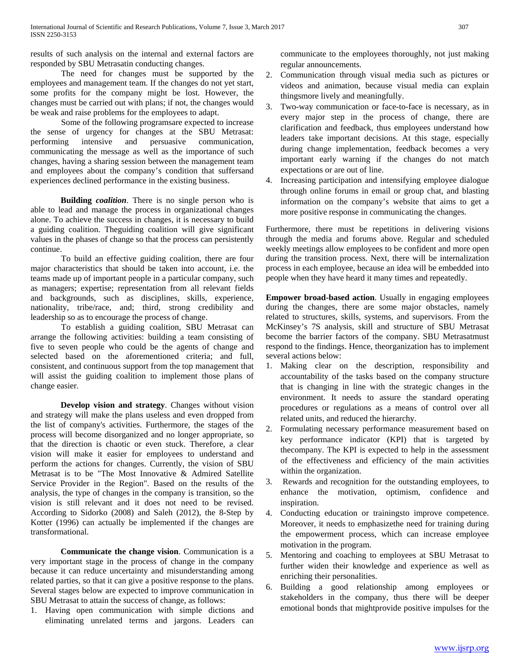results of such analysis on the internal and external factors are responded by SBU Metrasatin conducting changes.

The need for changes must be supported by the employees and management team. If the changes do not yet start, some profits for the company might be lost. However, the changes must be carried out with plans; if not, the changes would be weak and raise problems for the employees to adapt.

Some of the following programsare expected to increase the sense of urgency for changes at the SBU Metrasat: performing intensive and persuasive communication, communicating the message as well as the importance of such changes, having a sharing session between the management team and employees about the company's condition that suffersand experiences declined performance in the existing business.

**Building** *coalition*. There is no single person who is able to lead and manage the process in organizational changes alone. To achieve the success in changes, it is necessary to build a guiding coalition. Theguiding coalition will give significant values in the phases of change so that the process can persistently continue.

To build an effective guiding coalition, there are four major characteristics that should be taken into account, i.e. the teams made up of important people in a particular company, such as managers; expertise; representation from all relevant fields and backgrounds, such as disciplines, skills, experience, nationality, tribe/race, and; third, strong credibility and leadership so as to encourage the process of change.

To establish a guiding coalition, SBU Metrasat can arrange the following activities: building a team consisting of five to seven people who could be the agents of change and selected based on the aforementioned criteria; and full, consistent, and continuous support from the top management that will assist the guiding coalition to implement those plans of change easier.

**Develop vision and strategy**. Changes without vision and strategy will make the plans useless and even dropped from the list of company's activities. Furthermore, the stages of the process will become disorganized and no longer appropriate, so that the direction is chaotic or even stuck. Therefore, a clear vision will make it easier for employees to understand and perform the actions for changes. Currently, the vision of SBU Metrasat is to be "The Most Innovative & Admired Satellite Service Provider in the Region". Based on the results of the analysis, the type of changes in the company is transition, so the vision is still relevant and it does not need to be revised. According to Sidorko (2008) and Saleh (2012), the 8-Step by Kotter (1996) can actually be implemented if the changes are transformational.

**Communicate the change vision**. Communication is a very important stage in the process of change in the company because it can reduce uncertainty and misunderstanding among related parties, so that it can give a positive response to the plans. Several stages below are expected to improve communication in SBU Metrasat to attain the success of change, as follows:

1. Having open communication with simple dictions and eliminating unrelated terms and jargons. Leaders can communicate to the employees thoroughly, not just making regular announcements.

- 2. Communication through visual media such as pictures or videos and animation, because visual media can explain thingsmore lively and meaningfully.
- 3. Two-way communication or face-to-face is necessary, as in every major step in the process of change, there are clarification and feedback, thus employees understand how leaders take important decisions. At this stage, especially during change implementation, feedback becomes a very important early warning if the changes do not match expectations or are out of line.
- 4. Increasing participation and intensifying employee dialogue through online forums in email or group chat, and blasting information on the company's website that aims to get a more positive response in communicating the changes.

Furthermore, there must be repetitions in delivering visions through the media and forums above. Regular and scheduled weekly meetings allow employees to be confident and more open during the transition process. Next, there will be internalization process in each employee, because an idea will be embedded into people when they have heard it many times and repeatedly.

**Empower broad-based action**. Usually in engaging employees during the changes, there are some major obstacles, namely related to structures, skills, systems, and supervisors. From the McKinsey's 7S analysis, skill and structure of SBU Metrasat become the barrier factors of the company. SBU Metrasatmust respond to the findings. Hence, theorganization has to implement several actions below:

- 1. Making clear on the description, responsibility and accountability of the tasks based on the company structure that is changing in line with the strategic changes in the environment. It needs to assure the standard operating procedures or regulations as a means of control over all related units, and reduced the hierarchy.
- 2. Formulating necessary performance measurement based on key performance indicator (KPI) that is targeted by thecompany. The KPI is expected to help in the assessment of the effectiveness and efficiency of the main activities within the organization.
- 3. Rewards and recognition for the outstanding employees, to enhance the motivation, optimism, confidence and inspiration.
- 4. Conducting education or trainingsto improve competence. Moreover, it needs to emphasizethe need for training during the empowerment process, which can increase employee motivation in the program.
- 5. Mentoring and coaching to employees at SBU Metrasat to further widen their knowledge and experience as well as enriching their personalities.
- 6. Building a good relationship among employees or stakeholders in the company, thus there will be deeper emotional bonds that mightprovide positive impulses for the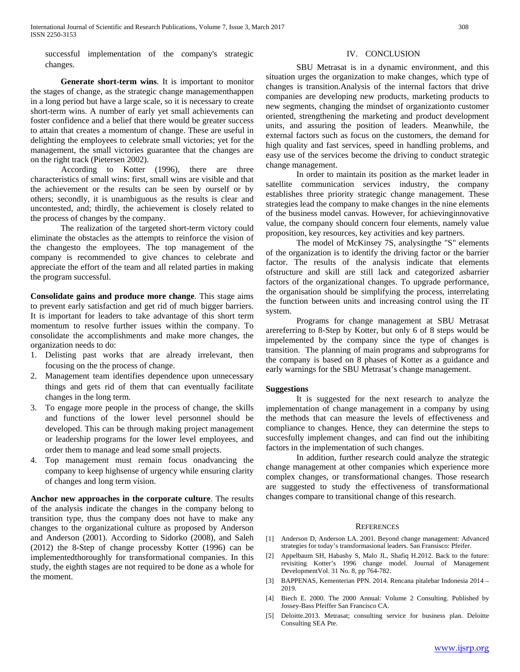successful implementation of the company's strategic changes.

**Generate short-term wins**. It is important to monitor the stages of change, as the strategic change managementhappen in a long period but have a large scale, so it is necessary to create short-term wins. A number of early yet small achievements can foster confidence and a belief that there would be greater success to attain that creates a momentum of change. These are useful in delighting the employees to celebrate small victories; yet for the management, the small victories guarantee that the changes are on the right track (Pietersen 2002).

According to Kotter (1996), there are three characteristics of small wins: first, small wins are visible and that the achievement or the results can be seen by ourself or by others; secondly, it is unambiguous as the results is clear and uncontested, and; thirdly, the achievement is closely related to the process of changes by the company.

The realization of the targeted short-term victory could eliminate the obstacles as the attempts to reinforce the vision of the changesto the employees. The top management of the company is recommended to give chances to celebrate and appreciate the effort of the team and all related parties in making the program successful.

**Consolidate gains and produce more change**. This stage aims to prevent early satisfaction and get rid of much bigger barriers. It is important for leaders to take advantage of this short term momentum to resolve further issues within the company. To consolidate the accomplishments and make more changes, the organization needs to do:

- 1. Delisting past works that are already irrelevant, then focusing on the the process of change.
- 2. Management team identifies dependence upon unnecessary things and gets rid of them that can eventually facilitate changes in the long term.
- 3. To engage more people in the process of change, the skills and functions of the lower level personnel should be developed. This can be through making project management or leadership programs for the lower level employees, and order them to manage and lead some small projects.
- 4. Top management must remain focus onadvancing the company to keep highsense of urgency while ensuring clarity of changes and long term vision.

**Anchor new approaches in the corporate culture**. The results of the analysis indicate the changes in the company belong to transition type, thus the company does not have to make any changes to the organizational culture as proposed by Anderson and Anderson (2001). According to Sidorko (2008), and Saleh (2012) the 8-Step of change processby Kotter (1996) can be implementedthoroughly for transformational companies. In this study, the eighth stages are not required to be done as a whole for the moment.

# IV. CONCLUSION

SBU Metrasat is in a dynamic environment, and this situation urges the organization to make changes, which type of changes is transition.Analysis of the internal factors that drive companies are developing new products, marketing products to new segments, changing the mindset of organizationto customer oriented, strengthening the marketing and product development units, and assuring the position of leaders. Meanwhile, the external factors such as focus on the customers, the demand for high quality and fast services, speed in handling problems, and easy use of the services become the driving to conduct strategic change management.

In order to maintain its position as the market leader in satellite communication services industry, the company establishes three priority strategic change management. These strategies lead the company to make changes in the nine elements of the business model canvas. However, for achievinginnovative value, the company should concern four elements, namely value proposition, key resources, key activities and key partners.

The model of McKinsey 7S, analysingthe "S" elements of the organization is to identify the driving factor or the barrier factor. The results of the analysis indicate that elements ofstructure and skill are still lack and categorized asbarrier factors of the organizational changes. To upgrade performance, the organisation should be simplifying the process, interrelating the function between units and increasing control using the IT system.

Programs for change management at SBU Metrasat arereferring to 8-Step by Kotter, but only 6 of 8 steps would be impelemented by the company since the type of changes is transition. The planning of main programs and subprograms for the company is based on 8 phases of Kotter as a guidance and early warnings for the SBU Metrasat's change management.

#### **Suggestions**

It is suggested for the next research to analyze the implementation of change management in a company by using the methods that can measure the levels of effectiveness and compliance to changes. Hence, they can determine the steps to succesfully implement changes, and can find out the inhibiting factors in the implementation of such changes.

In addition, further research could analyze the strategic change management at other companies which experience more complex changes, or transformational changes. Those research are suggested to study the effectiveness of transformational changes compare to transitional change of this research.

# **REFERENCES**

- [1] Anderson D, Anderson LA. 2001. Beyond change management: Advanced strategies for today's transformasional leaders. San Fransisco: Pfeifer.
- [2] Appelbaum SH, Habashy S, Malo JL, Shafiq H.2012. Back to the future: revisiting Kotter's 1996 change model. Journal of Management DevelopmentVol. 31 No. 8, pp 764-782.
- [3] BAPPENAS, Kementerian PPN. 2014. Rencana pitalebar Indonesia 2014 2019.
- [4] Biech E. 2000. The 2000 Annual: Volume 2 Consulting. Published by Jossey-Bass Pfeiffer San Francisco CA.
- [5] Deloitte.2013. Metrasat; consulting service for business plan. Deloitte Consulting SEA Pte.